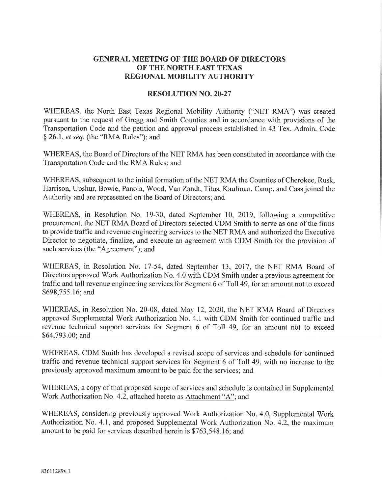## GENERAL MEETING OF THE BOARD OF DIRECTORS OF THE NORTH EAST TEXAS REGIONAL MOBILITY AUTHORITY

## RESOLUTION NO. 2O-27

WHEREAS, the North East Texas Regional Mobility Authority ("NET RMA") was created pursuant to the request of Gregg and Smith Counties and in accordance with provisions of the Transportation Code and the petition and approval process established in 43 Tex. Admin. Code \$ 26.1, et seq. (the "RMA Rules"); and

WHEREAS, the Board of Directors of the NET RMA has been constituted in accordance with the Transportation Code and the RMA Rules; and

WHEREAS, subsequent to the initial formation of the NET RMA the Counties of Cherokee, Rusk, Harrison, Upshur, Bowie, Panola, Wood, Van Zandt, Titus, Kaufman, Camp, and Cass joined the Authority and are represented on the Board of Directors; and

WHEREAS, in Resolution No. 19-30, dated September 10, 2019, following a competitive procurement, the NET RMA Board of Directors selected CDM Smith to serve as one of the firms to provide traffic and revenue engineering services to the NET RMA and authorized the Executive Director to negotiate, frnalize, and execute an agreement with CDM Smith for the provision of such services (the "Agreement"); and

WHEREAS, in Resolution No. 17-54, dated September 13,2017, the NET RMA Board of Directors approved Work Authorization No. 4.0 with CDM Smith under a previous agreement for traffic and toll revenue engineering services for Segment 6 of Toll 49, for an amount not to exceed \$698,755.16; and

WHEREAS, in Resolution No. 20-08, dated May 12, 2020, the NET RMA Board of Directors approved Supplemental Work Authorization No. 4.1 with CDM Smith for continued traffic and revenue technical support services for Segment 6 of Toll 49, for an amount not to exceed \$64,793.00; and

WHEREAS, CDM Smith has developed a revised scope of services and schedule for continued traffic and revenue technical support services for Segment 6 of Toll 49, with no increase to the previously approved maximum amount to be paid for the services; and

WHEREAS, a copy of that proposed scope of services and schedule is contained in Supplemental Work Authorization No. 4.2, attached hereto as Attachment "A"; and

WHEREAS, considering previously approved Work Authorization No. 4.0, Supplemental Work Authorization No. 4.I, and proposed Supplemental Work Authorization No. 4.2, the maximum amount to be paid for services described herein is \$763,548.16; and